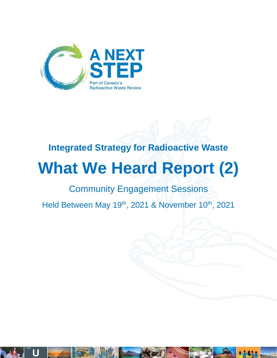

# **Integrated Strategy for Radioactive Waste**

# **What We Heard Report (2)**

# Community Engagement Sessions

Held Between May 19<sup>th</sup>, 2021 & November 10<sup>th</sup>, 2021

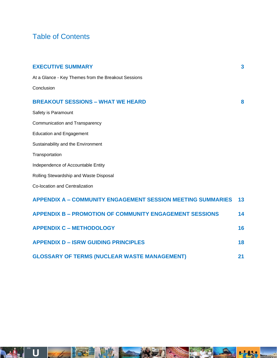# Table of Contents

| <b>EXECUTIVE SUMMARY</b>                                           | 3  |
|--------------------------------------------------------------------|----|
| At a Glance - Key Themes from the Breakout Sessions                |    |
| Conclusion                                                         |    |
| <b>BREAKOUT SESSIONS - WHAT WE HEARD</b>                           | 8  |
| Safety is Paramount                                                |    |
| Communication and Transparency                                     |    |
| <b>Education and Engagement</b>                                    |    |
| Sustainability and the Environment                                 |    |
| Transportation                                                     |    |
| Independence of Accountable Entity                                 |    |
| Rolling Stewardship and Waste Disposal                             |    |
| Co-location and Centralization                                     |    |
| <b>APPENDIX A - COMMUNITY ENGAGEMENT SESSION MEETING SUMMARIES</b> | 13 |
| <b>APPENDIX B - PROMOTION OF COMMUNITY ENGAGEMENT SESSIONS</b>     | 14 |
| <b>APPENDIX C - METHODOLOGY</b>                                    | 16 |
| <b>APPENDIX D - ISRW GUIDING PRINCIPLES</b>                        | 18 |
| <b>GLOSSARY OF TERMS (NUCLEAR WASTE MANAGEMENT)</b>                | 21 |

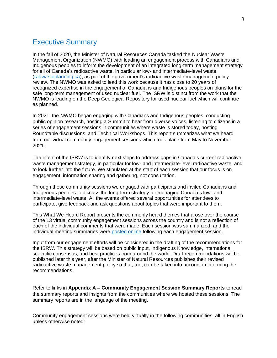# Executive Summary

In the fall of 2020, the Minister of Natural Resources Canada tasked the Nuclear Waste Management Organization (NWMO) with leading an engagement process with Canadians and Indigenous peoples to inform the development of an integrated long-term management strategy for all of Canada's radioactive waste, in particular low- and intermediate-level waste [\(radwasteplanning.ca\)](https://radwasteplanning.ca/), as part of the government's radioactive waste management policy review. The NWMO was asked to lead this work because it has close to 20 years of recognized expertise in the engagement of Canadians and Indigenous peoples on plans for the safe long-term management of used nuclear fuel. The ISRW is distinct from the work that the NWMO is leading on the Deep Geological Repository for used nuclear fuel which will continue as planned.

In 2021, the NWMO began engaging with Canadians and Indigenous peoples, conducting public opinion research, hosting a [Summit](https://radwasteplanning.ca/engagement-initiatives/canadian-radioactive-waste-summit) to hear from diverse voices, listening to citizens in a series of engagement sessions in communities where waste is stored today, hosting Roundtable discussions, and Technical Workshops. This report summarizes what we heard from our virtual community engagement sessions which took place from May to November 2021.

The intent of the ISRW is to identify next steps to address gaps in Canada's current radioactive waste management strategy, in particular for low- and intermediate-level radioactive waste, and to look further into the future. We stipulated at the start of each session that our focus is on engagement, information sharing and gathering, not consultation.

Through these community sessions we engaged with participants and invited Canadians and Indigenous peoples to discuss the long-term strategy for managing Canada's low- and intermediate-level waste. All the events offered several opportunities for attendees to participate, give feedback and ask questions about topics that were important to them.

This What We Heard Report presents the commonly heard themes that arose over the course of the 13 virtual community engagement sessions across the country and is not a reflection of each of the individual comments that were made. Each session was summarized, and the individual meeting summaries were [posted online](https://radwasteplanning.ca/content/reports) following each engagement session.

Input from our engagement efforts will be considered in the drafting of the recommendations for the ISRW. This strategy will be based on public input, Indigenous Knowledge, international scientific consensus, and best practices from around the world. Draft recommendations will be published later this year, after the Minister of Natural Resources publishes their revised radioactive waste management policy so that, too, can be taken into account in informing the recommendations.

Refer to links in **Appendix A – Community Engagement Session Summary Reports** to read the summary reports and insights from the communities where we hosted these sessions. The summary reports are in the language of the meeting.

Community engagement sessions were held virtually in the following communities, all in English unless otherwise noted: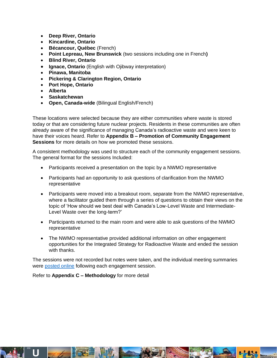- **Deep River, Ontario**
- **Kincardine, Ontario**
- **Bécancour, Québec** (French)
- **Point Lepreau, New Brunswick** (two sessions including one in French**)**
- **Blind River, Ontario**
- **Ignace, Ontario** (English with Ojibway interpretation)
- **Pinawa, Manitoba**
- **Pickering & Clarington Region, Ontario**
- **Port Hope, Ontario**
- **Alberta**
- **Saskatchewan**
- **Open, Canada-wide** (Bilingual English/French)

These locations were selected because they are either communities where waste is stored today or that are considering future nuclear projects. Residents in these communities are often already aware of the significance of managing Canada's radioactive waste and were keen to have their voices heard. Refer to **Appendix B – Promotion of Community Engagement Sessions** for more details on how we promoted these sessions.

A consistent methodology was used to structure each of the community engagement sessions. The general format for the sessions Included:

- Participants received a presentation on the topic by a NWMO representative
- Participants had an opportunity to ask questions of clarification from the NWMO representative
- Participants were moved into a breakout room, separate from the NWMO representative, where a facilitator guided them through a series of questions to obtain their views on the topic of 'How should we best deal with Canada's Low-Level Waste and Intermediate-Level Waste over the long-term?'
- Participants returned to the main room and were able to ask questions of the NWMO representative
- The NWMO representative provided additional information on other engagement opportunities for the Integrated Strategy for Radioactive Waste and ended the session with thanks.

The sessions were not recorded but notes were taken, and the individual meeting summaries were [posted online](https://radwasteplanning.ca/content/reports) following each engagement session.

Refer to **Appendix C – Methodology** for more detail



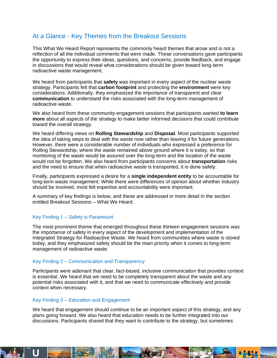# At a Glance - Key Themes from the Breakout Sessions

This What We Heard Report represents the commonly heard themes that arose and is not a reflection of all the individual comments that were made. These conversations gave participants the opportunity to express their ideas, questions, and concerns, provide feedback, and engage in discussions that would reveal what considerations should be given toward long-term radioactive waste management.

We heard from participants that **safety** was important in every aspect of the nuclear waste strategy. Participants felt that **carbon footprint** and protecting the **environment** were key considerations. Additionally, they emphasized the importance of transparent and clear **communication** to understand the risks associated with the long-term management of radioactive waste.

We also heard from these community engagement sessions that participants wanted **to learn more** about all aspects of the strategy to make better informed decisions that could contribute toward the overall strategy.

We heard differing views on **Rolling Stewardship** and **Disposal**. Most participants supported the idea of taking steps to deal with the waste now rather than leaving it for future generations. However, there were a considerable number of individuals who expressed a preference for Rolling Stewardship, where the waste remained above ground where it is today, so that monitoring of the waste would be assured over the long-term and the location of the waste would not be forgotten. We also heard from participants concerns about **transportation** risks and the need to ensure that when radioactive waste is transported, it is done safely.

Finally, participants expressed a desire for a **single independent entity** to be accountable for long-term waste management. While there were differences of opinion about whether industry should be involved, most felt expertise and accountability were important.

A summary of key findings is below, and these are addressed in more detail in the section entitled Breakout Sessions – What We Heard.

#### Key Finding 1 – Safety is Paramount

The most prominent theme that emerged throughout these thirteen engagement sessions was the importance of safety in every aspect of the development and implementation of the Integrated Strategy for Radioactive Waste. We heard from communities where waste is stored today, and they emphasized safety should be the main priority when it comes to long-term management of radioactive waste.

#### Key Finding 2 – Communication and Transparency

Participants were adamant that clear, fact-based, inclusive communication that provides context is essential. We heard that we need to be completely transparent about the waste and any potential risks associated with it, and that we need to communicate effectively and provide context when necessary.

#### Key Finding 3 – Education and Engagement

We heard that engagement should continue to be an important aspect of this strategy, and any plans going forward. We also heard that education needs to be further integrated into our discussions. Participants shared that they want to contribute to the strategy, but sometimes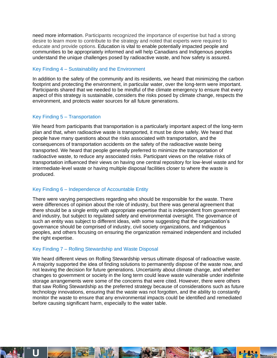need more information. Participants recognized the importance of expertise but had a strong desire to learn more to contribute to the strategy and noted that experts were required to educate and provide options. Education is vital to enable potentially impacted people and communities to be appropriately informed and will help Canadians and Indigenous peoples understand the unique challenges posed by radioactive waste, and how safety is assured.

#### Key Finding 4 – Sustainability and the Environment

In addition to the safety of the community and its residents, we heard that minimizing the carbon footprint and protecting the environment, in particular water, over the long-term were important. Participants shared that we needed to be mindful of the climate emergency to ensure that every aspect of this strategy is sustainable, considers the risks posed by climate change, respects the environment, and protects water sources for all future generations.

#### Key Finding 5 – Transportation

We heard from participants that transportation is a particularly important aspect of the long-term plan and that, when radioactive waste is transported, it must be done safely. We heard that people have many questions about the risks associated with transportation, and the consequences of transportation accidents on the safety of the radioactive waste being transported. We heard that people generally preferred to minimize the transportation of radioactive waste, to reduce any associated risks. Participant views on the relative risks of transportation influenced their views on having one central repository for low-level waste and for intermediate-level waste or having multiple disposal facilities closer to where the waste is produced.

#### Key Finding 6 – Independence of Accountable Entity

There were varying perspectives regarding who should be responsible for the waste. There were differences of opinion about the role of industry, but there was general agreement that there should be a single entity with appropriate expertise that is independent from government and industry, but subject to regulated safety and environmental oversight. The governance of such an entity was subject to different ideas, with some suggesting that the organization's governance should be comprised of industry, civil society organizations, and Indigenous peoples, and others focusing on ensuring the organization remained independent and included the right expertise.

#### Key Finding 7 – Rolling Stewardship and Waste Disposal

We heard different views on Rolling Stewardship versus ultimate disposal of radioactive waste. A majority supported the idea of finding solutions to permanently dispose of the waste now, and not leaving the decision for future generations. Uncertainty about climate change, and whether changes to government or society in the long term could leave waste vulnerable under indefinite storage arrangements were some of the concerns that were cited. However, there were others that saw Rolling Stewardship as the preferred strategy because of considerations such as future technology innovations, ensuring that the waste was not forgotten, and the ability to constantly monitor the waste to ensure that any environmental impacts could be identified and remediated before causing significant harm, especially to the water table.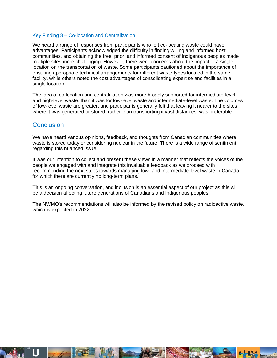#### Key Finding 8 – Co-location and Centralization

We heard a range of responses from participants who felt co-locating waste could have advantages. Participants acknowledged the difficulty in finding willing and informed host communities, and obtaining the free, prior, and informed consent of Indigenous peoples made multiple sites more challenging. However, there were concerns about the impact of a single location on the transportation of waste. Some participants cautioned about the importance of ensuring appropriate technical arrangements for different waste types located in the same facility, while others noted the cost advantages of consolidating expertise and facilities in a single location.

The idea of co-location and centralization was more broadly supported for intermediate-level and high-level waste, than it was for low-level waste and intermediate-level waste. The volumes of low-level waste are greater, and participants generally felt that leaving it nearer to the sites where it was generated or stored, rather than transporting it vast distances, was preferable.

# **Conclusion**

We have heard various opinions, feedback, and thoughts from Canadian communities where waste is stored today or considering nuclear in the future. There is a wide range of sentiment regarding this nuanced issue.

It was our intention to collect and present these views in a manner that reflects the voices of the people we engaged with and integrate this invaluable feedback as we proceed with recommending the next steps towards managing low- and intermediate-level waste in Canada for which there are currently no long-term plans.

This is an ongoing conversation, and inclusion is an essential aspect of our project as this will be a decision affecting future generations of Canadians and Indigenous peoples.

The NWMO's recommendations will also be informed by the revised policy on radioactive waste, which is expected in 2022.

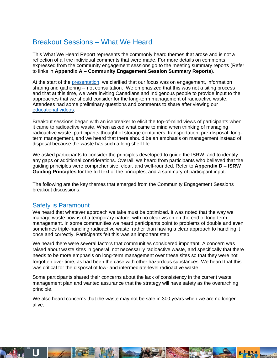# Breakout Sessions – What We Heard

This What We Heard Report represents the commonly heard themes that arose and is not a reflection of all the individual comments that were made. For more details on comments expressed from the community engagement sessions go to the meeting summary reports (Refer to links in **Appendix A – Community Engagement Session Summary Reports**).

At the start of the [presentation,](https://radwasteplanning.ca/sites/default/files/isrw_ces_ppt_eng_may26.pdf) we clarified that our focus was on engagement, information sharing and gathering -- not consultation. We emphasized that this was not a siting process and that at this time, we were inviting Canadians and Indigenous people to provide input to the approaches that we should consider for the long-term management of radioactive waste. Attendees had some preliminary questions and comments to share after viewing our [educational](https://www.youtube.com/channel/UCdWFfSWWpf9_ReBY_w9Q15Q) videos.

Breakout sessions began with an icebreaker to elicit the top-of-mind views of participants when it came to radioactive waste. When asked what came to mind when thinking of managing radioactive waste, participants thought of storage containers, transportation, pre-disposal, longterm management, and we heard that there should be an emphasis on management instead of disposal because the waste has such a long shelf life.

We asked participants to consider the principles developed to quide the ISRW, and to identify any gaps or additional considerations. Overall, we heard from participants who believed that the guiding principles were comprehensive, clear, and well-rounded. Refer to **Appendix D – ISRW Guiding Principles** for the full text of the principles, and a summary of participant input.

The following are the key themes that emerged from the Community Engagement Sessions breakout discussions:

## Safety is Paramount

We heard that whatever approach we take must be optimized. It was noted that the way we manage waste now is of a temporary nature, with no clear vision on the end of long-term management. In some communities we heard participants point to problems of double and even sometimes triple-handling radioactive waste, rather than having a clear approach to handling it once and correctly. Participants felt this was an important step.

We heard there were several factors that communities considered important. A concern was raised about waste sites in general, not necessarily radioactive waste, and specifically that there needs to be more emphasis on long-term management over these sites so that they were not forgotten over time, as had been the case with other hazardous substances. We heard that this was critical for the disposal of low- and intermediate-level radioactive waste.

Some participants shared their concerns about the lack of consistency in the current waste management plan and wanted assurance that the strategy will have safety as the overarching principle.

We also heard concerns that the waste may not be safe in 300 years when we are no longer alive.

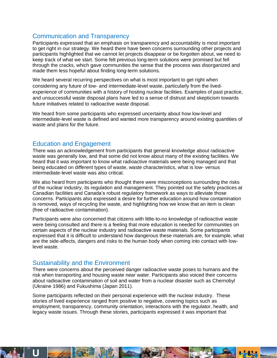## Communication and Transparency

Participants expressed that an emphasis on transparency and accountability is most important to get right in our strategy. We heard there have been concerns surrounding other projects and participants highlighted that we cannot let projects disappear or be forgotten about, we need to keep track of what we start. Some felt previous long-term solutions were promised but fell through the cracks, which gave communities the sense that the process was disorganized and made them less hopeful about finding long-term solutions.

We heard several recurring perspectives on what is most important to get right when considering any future of low- and intermediate-level waste, particularly from the livedexperience of communities with a history of hosting nuclear facilities. Examples of past practice, and unsuccessful waste disposal plans have led to a sense of distrust and skepticism towards future initiatives related to radioactive waste disposal.

We heard from some participants who expressed uncertainty about how low-level and intermediate-level waste is defined and wanted more transparency around existing quantities of waste and plans for the future.

## Education and Engagement

There was an acknowledgement from participants that general knowledge about radioactive waste was generally low, and that some did not know about many of the existing facilities. We heard that it was important to know what radioactive materials were being managed and that being educated on different types of waste, waste characteristics, what is low- versus intermediate-level waste was also critical.

We also heard from participants who thought there were misconceptions surrounding the risks of the nuclear industry, its regulation and management. They pointed out the safety practices at Canadian facilities and Canada's robust regulatory framework as ways to alleviate those concerns. Participants also expressed a desire for further education around how contamination is removed, ways of recycling the waste, and highlighting how we know that an item is clean (free of radioactive contamination).

Participants were also concerned that citizens with little-to-no knowledge of radioactive waste were being consulted and there is a feeling that more education is needed for communities on certain aspects of the nuclear industry and radioactive waste materials. Some participants expressed that it is difficult to understand how dangerous these materials are, for example, what are the side-affects, dangers and risks to the human body when coming into contact with lowlevel waste.

## Sustainability and the Environment

There were concerns about the perceived danger radioactive waste poses to humans and the risk when transporting and housing waste near water. Participants also voiced their concerns about radioactive contamination of soil and water from a nuclear disaster such as Chernobyl (Ukraine 1986) and Fukushima (Japan 2011).

Some participants reflected on their personal experience with the nuclear industry. These stories of lived experience ranged from positive to negative, covering topics such as employment, transparency, community orientation, interactions with the regulator, health, and legacy waste issues. Through these stories, participants expressed it was important that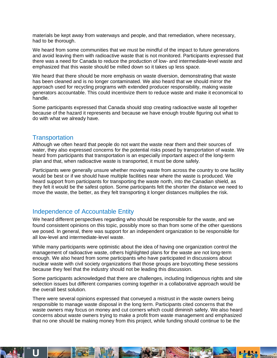materials be kept away from waterways and people, and that remediation, where necessary, had to be thorough.

We heard from some communities that we must be mindful of the impact to future generations and avoid leaving them with radioactive waste that is not monitored. Participants expressed that there was a need for Canada to reduce the production of low- and intermediate-level waste and emphasized that this waste should be milled down so it takes up less space.

We heard that there should be more emphasis on waste diversion, demonstrating that waste has been cleaned and is no longer contaminated. We also heard that we should mirror the approach used for recycling programs with extended producer responsibility, making waste generators accountable. This could incentivize them to reduce waste and make it economical to handle.

Some participants expressed that Canada should stop creating radioactive waste all together because of the hazard it represents and because we have enough trouble figuring out what to do with what we already have.

#### **Transportation**

Although we often heard that people do not want the waste near them and their sources of water, they also expressed concerns for the potential risks posed by transportation of waste. We heard from participants that transportation is an especially important aspect of the long-term plan and that, when radioactive waste is transported, it must be done safely.

Participants were generally unsure whether moving waste from across the country to one facility would be best or if we should have multiple facilities near where the waste is produced. We heard support from participants for transporting the waste north, into the Canadian shield, as they felt it would be the safest option. Some participants felt the shorter the distance we need to move the waste, the better, as they felt transporting it longer distances multiplies the risk.

# Independence of Accountable Entity

We heard different perspectives regarding who should be responsible for the waste, and we found consistent opinions on this topic, possibly more so than from some of the other questions we posed. In general, there was support for an independent organization to be responsible for all low-level and intermediate-level waste.

While many participants were optimistic about the idea of having one organization control the management of radioactive waste, others highlighted plans for the waste are not long-term enough. We also heard from some participants who have participated in discussions about nuclear waste with civil society organizations that those groups are boycotting these sessions because they feel that the industry should not be leading this discussion.

Some participants acknowledged that there are challenges, including Indigenous rights and site selection issues but different companies coming together in a collaborative approach would be the overall best solution.

There were several opinions expressed that conveyed a mistrust in the waste owners being responsible to manage waste disposal in the long term. Participants cited concerns that the waste owners may focus on money and cut corners which could diminish safety. We also heard concerns about waste owners trying to make a profit from waste management and emphasized that no one should be making money from this project, while funding should continue to be the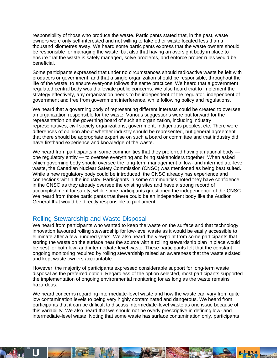responsibility of those who produce the waste. Participants stated that, in the past, waste owners were only self-interested and not willing to take other waste located less than a thousand kilometres away. We heard some participants express that the waste owners should be responsible for managing the waste, but also that having an oversight body in place to ensure that the waste is safely managed, solve problems, and enforce proper rules would be beneficial.

Some participants expressed that under no circumstances should radioactive waste be left with producers or government, and that a single organization should be responsible, throughout the life of the waste, to ensure everyone follows the same practices. We heard that a government regulated central body would alleviate public concerns. We also heard that to implement the strategy effectively, any organization needs to be independent of the regulator, independent of government and free from government interference, while following policy and regulations.

We heard that a governing body of representing different interests could be created to oversee an organization responsible for the waste. Various suggestions were put forward for the representation on the governing board of such an organization, including industry representatives, civil society organizations, government, Indigenous peoples, etc. There were differences of opinion about whether industry should be represented, but general agreement that there should be appropriate expertise on such a board or committee and that industry did have firsthand experience and knowledge of the waste.

We heard from participants in some communities that they preferred having a national body one regulatory entity — to oversee everything and bring stakeholders together. When asked which governing body should oversee the long-term management of low- and intermediate-level waste, the Canadian Nuclear Safety Commission (CNSC) was mentioned as being best suited. While a new regulatory body could be introduced, the CNSC already has experience and connections within the industry. Participants in some communities noted they have confidence in the CNSC as they already oversee the existing sites and have a strong record of accomplishment for safety, while some participants questioned the independence of the CNSC. We heard from those participants that there could be an independent body like the Auditor General that would be directly responsible to parliament.

## Rolling Stewardship and Waste Disposal

We heard from participants who wanted to keep the waste on the surface and that technology innovation favoured rolling stewardship for low-level waste as it would be easily accessible to eliminate after a few hundred years. We also heard the viewpoint from some participants that storing the waste on the surface near the source with a rolling stewardship plan in place would be best for both low- and intermediate-level waste. These participants felt that the constant ongoing monitoring required by rolling stewardship raised an awareness that the waste existed and kept waste owners accountable.

However, the majority of participants expressed considerable support for long-term waste disposal as the preferred option. Regardless of the option selected, most participants supported the implementation of ongoing environmental monitoring for as long as the waste remains hazardous.

We heard concerns regarding intermediate-level waste and how the waste can vary from quite low contamination levels to being very highly contaminated and dangerous. We heard from participants that it can be difficult to discuss intermediate-level waste as one issue because of this variability. We also heard that we should not be overly prescriptive in defining low- and intermediate-level waste. Noting that some waste has surface contamination only, participants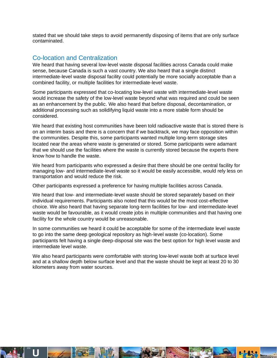stated that we should take steps to avoid permanently disposing of items that are only surface contaminated.

## Co-location and Centralization

We heard that having several low-level waste disposal facilities across Canada could make sense, because Canada is such a vast country. We also heard that a single distinct intermediate-level waste disposal facility could potentially be more socially acceptable than a combined facility, or multiple facilities for intermediate-level waste.

Some participants expressed that co-locating low-level waste with intermediate-level waste would increase the safety of the low-level waste beyond what was required and could be seen as an enhancement by the public. We also heard that before disposal, decontamination, or additional processing such as solidifying liquid waste into a more stable form should be considered.

We heard that existing host communities have been told radioactive waste that is stored there is on an interim basis and there is a concern that if we backtrack, we may face opposition within the communities. Despite this, some participants wanted multiple long-term storage sites located near the areas where waste is generated or stored. Some participants were adamant that we should use the facilities where the waste is currently stored because the experts there know how to handle the waste.

We heard from participants who expressed a desire that there should be one central facility for managing low- and intermediate-level waste so it would be easily accessible, would rely less on transportation and would reduce the risk.

Other participants expressed a preference for having multiple facilities across Canada.

We heard that low- and intermediate-level waste should be stored separately based on their individual requirements. Participants also noted that this would be the most cost-effective choice. We also heard that having separate long-term facilities for low- and intermediate-level waste would be favourable, as it would create jobs in multiple communities and that having one facility for the whole country would be unreasonable.

In some communities we heard it could be acceptable for some of the intermediate level waste to go into the same deep geological repository as high-level waste (co-location). Some participants felt having a single deep-disposal site was the best option for high level waste and intermediate level waste.

We also heard participants were comfortable with storing low-level waste both at surface level and at a shallow depth below surface level and that the waste should be kept at least 20 to 30 kilometers away from water sources.

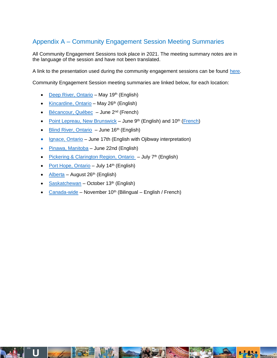# Appendix A – Community Engagement Session Meeting Summaries

All Community Engagement Sessions took place in 2021. The meeting summary notes are in the language of the session and have not been translated.

A link to the presentation used during the community engagement sessions can be found [here.](https://radwasteplanning.ca/sites/default/files/isrw_ces_ppt_eng_may26.pdf)

Community Engagement Session meeting summaries are linked below, for each location:

- [Deep River, Ontario](https://radwasteplanning.ca/sites/default/files/community_engagement_session_summary_report_deep_river.pdf) May 19<sup>th</sup> (English)
- [Kincardine, Ontario](https://radwasteplanning.ca/sites/default/files/kincardine_summary_report.pdf) May 26<sup>th</sup> (English)
- [Bécancour, Québec](https://radwasteplanning.ca/sites/default/files/rapport_de_synthese_-_seance_de_concertation_becancour.pdf)  June 2<sup>nd</sup> (French)
- [Point Lepreau, New Brunswick](https://radwasteplanning.ca/sites/default/files/point_lepreau_ces_summary_report_english_final.pdf) June  $9<sup>th</sup>$  (English) and  $10<sup>th</sup>$  [\(French\)](https://plandechetsradioactifs.ca/sites/default/files/point_lepreau_ces_summary_report_final_french.pdf)
- [Blind River, Ontario](https://radwasteplanning.ca/sites/default/files/ces_summary_report_blind_river_final.pdf) June 16<sup>th</sup> (English)
- [Ignace, Ontario](https://radwasteplanning.ca/sites/default/files/ignace_ces_summary_report_final.pdf) June 17th (English with Ojibway interpretation)
- [Pinawa, Manitoba](https://radwasteplanning.ca/sites/default/files/pinawa_community_engagement_session_summary_report_final.pdf) June 22nd (English)
- [Pickering & Clarington Region, Ontario](https://radwasteplanning.ca/sites/default/files/pickering_and_clarington_ces_summary_report_final.pdf)  $-$  July  $7<sup>th</sup>$  (English)
- [Port Hope, Ontario](https://radwasteplanning.ca/sites/default/files/port_hope_summary_report_final.pdf) July 14<sup>th</sup> (English)
- [Alberta](https://radwasteplanning.ca/sites/default/files/alberta_ces_jr_sb_updated_nov.12.pdf) August 26<sup>th</sup> (English)
- [Saskatchewan](https://radwasteplanning.ca/sites/default/files/saskatchewan_ces_summary_final.pdf) October  $13<sup>th</sup>$  (English)
- [Canada-wide](https://radwasteplanning.ca/sites/default/files/ces_open_summary_report_nov_10_kg_jt.pdf) November  $10<sup>th</sup>$  (Bilingual English / French)

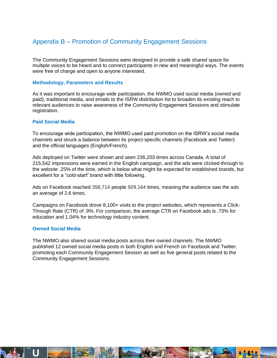# Appendix B – Promotion of Community Engagement Sessions

The Community Engagement Sessions were designed to provide a safe shared space for multiple voices to be heard and to connect participants in new and meaningful ways. The events were free of charge and open to anyone interested.

#### **Methodology, Parameters and Results**

As it was important to encourage wide participation, the NWMO used social media (owned and paid), traditional media, and emails to the ISRW distribution list to broaden its existing reach to relevant audiences to raise awareness of the Community Engagement Sessions and stimulate registration.

#### **Paid Social Media**

To encourage wide participation, the NWMO used paid promotion on the ISRW's social media channels and struck a balance between its project-specific channels (Facebook and Twitter) and the official languages (English/French).

Ads deployed on Twitter were shown and seen 236,203 times across Canada. A total of 215,542 impressions were earned in the English campaign, and the ads were clicked-through to the website .25% of the time, which is below what might be expected for established brands, but excellent for a "cold-start" brand with little following.

Ads on Facebook reached 358,714 people 929,164 times, meaning the audience saw the ads an average of 2.6 times.

Campaigns on Facebook drove 8,100+ visits to the project websites, which represents a Click-Through Rate (CTR) of .9%. For comparison, the average CTR on Facebook ads is .73% for education and 1.04% for technology industry content.

#### **Owned Social Media**

The NWMO also shared social media posts across their owned channels. The NWMO published 12 owned social media posts in both English and French on Facebook and Twitter, promoting each Community Engagement Session as well as five general posts related to the Community Engagement Sessions.

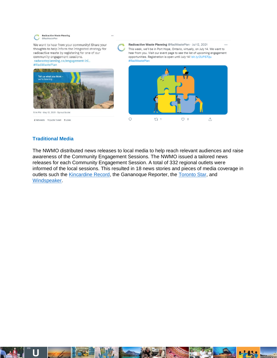

#### **Traditional Media**

The NWMO distributed news releases to local media to help reach relevant audiences and raise awareness of the Community Engagement Sessions. The NWMO issued a tailored news releases for each Community Engagement Session. A total of 332 regional outlets were informed of the local sessions. This resulted in 18 news stories and pieces of media coverage in outlets such the [Kincardine Record,](https://www.kincardinerecord.com/story.php?id=11144) the Gananoque Reporter, the [Toronto Star,](https://www.thestar.com/news/canada/2021/08/17/indigenous-voices-important-in-developing-new-low-intermediate-nuclear-waste-strategy.html) and [Windspeaker.](https://windspeaker.com/news/windspeaker-news/nations-head-back-consultations-new-nuclear-waste-storage-proposal-their)

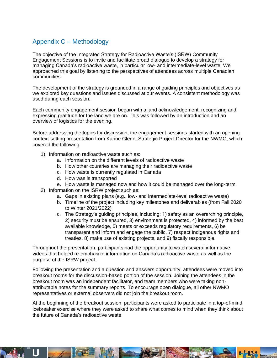# Appendix C – Methodology

The objective of the Integrated Strategy for Radioactive Waste's (ISRW) Community Engagement Sessions is to invite and facilitate broad dialogue to develop a strategy for managing Canada's radioactive waste, in particular low- and intermediate-level waste. We approached this goal by listening to the perspectives of attendees across multiple Canadian communities.

The development of the strategy is grounded in a range of guiding principles and objectives as we explored key questions and issues discussed at our events. A consistent methodology was used during each session.

Each community engagement session began with a land acknowledgement, recognizing and expressing gratitude for the land we are on. This was followed by an introduction and an overview of logistics for the evening.

Before addressing the topics for discussion, the engagement sessions started with an opening context-setting presentation from Karine Glenn, Strategic Project Director for the NWMO, which covered the following:

- 1) Information on radioactive waste such as:
	- a. Information on the different levels of radioactive waste
	- b. How other countries are managing their radioactive waste
	- c. How waste is currently regulated in Canada
	- d. How was is transported
	- e. How waste is managed now and how it could be managed over the long-term
- 2) Information on the ISRW project such as:
	- a. Gaps in existing plans (e.g., low- and intermediate-level radioactive waste)
	- b. Timeline of the project including key milestones and deliverables (from Fall 2020 to Winter 2021/2022)
	- c. The Strategy's guiding principles, including: 1) safety as an overarching principle, 2) security must be ensured, 3) environment is protected, 4) informed by the best available knowledge, 5) meets or exceeds regulatory requirements, 6) be transparent and inform and engage the public, 7) respect Indigenous rights and treaties, 8) make use of existing projects, and 9) fiscally responsible.

Throughout the presentation, participants had the opportunity to watch several informative videos that helped re-emphasize information on Canada's radioactive waste as well as the purpose of the ISRW project.

Following the presentation and a question and answers opportunity, attendees were moved into breakout rooms for the discussion-based portion of the session. Joining the attendees in the breakout room was an independent facilitator, and team members who were taking nonattributable notes for the summary reports. To encourage open dialogue, all other NWMO representatives or external observers did not join the breakout room.

At the beginning of the breakout session, participants were asked to participate in a top-of-mind icebreaker exercise where they were asked to share what comes to mind when they think about the future of Canada's radioactive waste.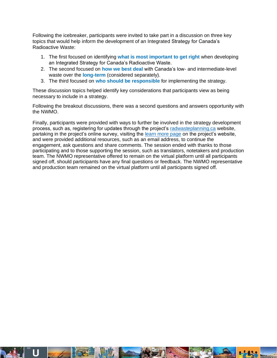Following the icebreaker, participants were invited to take part in a discussion on three key topics that would help inform the development of an Integrated Strategy for Canada's Radioactive Waste:

- 1. The first focused on identifying **what is most important to get right** when developing an Integrated Strategy for Canada's Radioactive Waste.
- 2. The second focused on **how we best deal** with Canada's low- and intermediate-level waste over the **long-term** (considered separately).
- 3. The third focused on **who should be responsible** for implementing the strategy.

These discussion topics helped identify key considerations that participants view as being necessary to include in a strategy.

Following the breakout discussions, there was a second questions and answers opportunity with the NWMO.

Finally, participants were provided with ways to further be involved in the strategy development process, such as, registering for updates through the project's [radwasteplanning.ca](https://radwasteplanning.ca/) website, partaking in the project's online survey, visiting the [learn more page](https://radwasteplanning.ca/content/learn-more) on the project's website, and were provided additional resources, such as an email address, to continue the engagement, ask questions and share comments. The session ended with thanks to those participating and to those supporting the session, such as translators, notetakers and production team. The NWMO representative offered to remain on the virtual platform until all participants signed off, should participants have any final questions or feedback. The NWMO representative and production team remained on the virtual platform until all participants signed off.

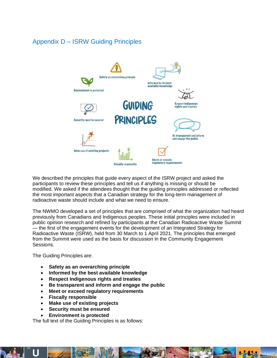# Appendix D – ISRW Guiding Principles



We described the principles that guide every aspect of the ISRW project and asked the participants to review these principles and tell us if anything is missing or should be modified. We asked if the attendees thought that the guiding principles addressed or reflected the most important aspects that a Canadian strategy for the long-term management of radioactive waste should include and what we need to ensure.

The NWMO developed a set of principles that are comprised of what the organization had heard previously from Canadians and Indigenous peoples. These initial principles were included in public opinion research and refined by participants at the Canadian Radioactive Waste Summit — the first of the engagement events for the development of an Integrated Strategy for Radioactive Waste (ISRW), held from 30 March to 1 April 2021. The principles that emerged from the Summit were used as the basis for discussion in the Community Engagement Sessions.

The Guiding Principles are:

- **Safety as an overarching principle**
- **Informed by the best available knowledge**
- **Respect Indigenous rights and treaties**
- **Be transparent and inform and engage the public**
- **Meet or exceed regulatory requirements**
- **Fiscally responsible**
- **Make use of existing projects**
- **Security must be ensured**
- **Environment is protected**

The full text of the Guiding Principles is as follows: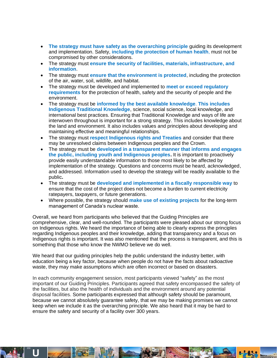- **The strategy must have safety as the overarching principle** guiding its development and implementation. Safety, **including the protection of human health**, must not be compromised by other considerations.
- The strategy must **ensure the security of facilities, materials, infrastructure, and information**.
- The strategy must **ensure that the environment is protected**, including the protection of the air, water, soil, wildlife, and habitat.
- The strategy must be developed and implemented to **meet or exceed regulatory requirements** for the protection of health, safety and the security of people and the environment.
- The strategy must be **informed by the best available knowledge**. **This includes Indigenous Traditional Knowledge**, science, social science, local knowledge, and international best practices. Ensuring that Traditional Knowledge and ways of life are interwoven throughout is important for a strong strategy. This includes knowledge about the land and environment. It also includes values and principles about developing and maintaining effective and meaningful relationships.
- The strategy must **respect Indigenous rights and Treaties** and consider that there may be unresolved claims between Indigenous peoples and the Crown.
- The strategy must be **developed in a transparent manner that informs and engages the public, including youth and Indigenous peoples.** It is important to proactively provide easily understandable information to those most likely to be affected by implementation of the strategy. Questions and concerns must be heard, acknowledged, and addressed. Information used to develop the strategy will be readily available to the public**.**
- The strategy must be **developed and implemented in a fiscally responsible way** to ensure that the cost of the project does not become a burden to current electricity ratepayers, taxpayers, or future generations.
- Where possible, the strategy should **make use of existing projects** for the long-term management of Canada's nuclear waste.

Overall, we heard from participants who believed that the Guiding Principles are comprehensive, clear, and well-rounded. The participants were pleased about our strong focus on Indigenous rights. We heard the importance of being able to clearly express the principles regarding Indigenous peoples and their knowledge, adding that transparency and a focus on Indigenous rights is important. It was also mentioned that the process is transparent, and this is something that those who know the NWMO believe we do well.

We heard that our guiding principles help the public understand the industry better, with education being a key factor, because when people do not have the facts about radioactive waste, they may make assumptions which are often incorrect or based on disasters.

In each community engagement session, most participants viewed "safety" as the most important of our Guiding Principles. Participants agreed that safety encompassed the safety of the facilities, but also the health of individuals and the environment around any potential disposal facilities. Some participants expressed that although safety should be paramount, because we cannot absolutely guarantee safety, that we may be making promises we cannot keep when we include it as the overarching principle. We also heard that it may be hard to ensure the safety and security of a facility over 300 years.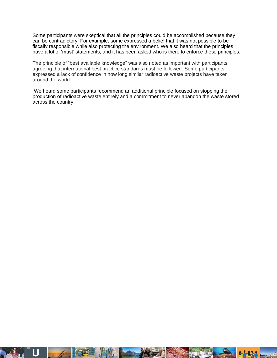Some participants were skeptical that all the principles could be accomplished because they can be contradictory. For example, some expressed a belief that it was not possible to be fiscally responsible while also protecting the environment. We also heard that the principles have a lot of 'must' statements, and it has been asked who is there to enforce these principles.

The principle of "best available knowledge" was also noted as important with participants agreeing that international best practice standards must be followed. Some participants expressed a lack of confidence in how long similar radioactive waste projects have taken around the world.

We heard some participants recommend an additional principle focused on stopping the production of radioactive waste entirely and a commitment to never abandon the waste stored across the country.

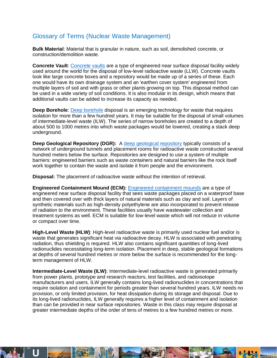## Glossary of Terms (Nuclear Waste Management)

**Bulk Material**: Material that is granular in nature, such as soil, demolished concrete, or construction/demolition waste.

**Concrete Vault**[: Concrete vaults](https://radwasteplanning.ca/sites/default/files/concrete_vault_final_2021-03-23_0.pdf) are a type of engineered near surface disposal facility widely used around the world for the disposal of low-level radioactive waste (LLW). Concrete vaults look like large concrete boxes and a repository would be made up of a series of these. Each one would have its own drainage system and an 'earthen cover system' engineered from multiple layers of soil and with grass or other plants growing on top. This disposal method can be used in a wide variety of soil conditions. It is also modular in its design, which means that additional vaults can be added to increase its capacity as needed.

**Deep Borehole**[: Deep borehole](https://radwasteplanning.ca/sites/default/files/deep_borehole_final_2021-03-23.pdf) disposal is an emerging technology for waste that requires isolation for more than a few hundred years. It may be suitable for the disposal of small volumes of intermediate-level waste (ILW). The series of narrow boreholes are created to a depth of about 500 to 1000 metres into which waste packages would be lowered, creating a stack deep underground.

**Deep Geological Repository (DGR):** A [deep geological repository](https://radwasteplanning.ca/sites/default/files/deep_geologic_repository_final_2021-03-23.pdf) typically consists of a network of underground tunnels and placement rooms for radioactive waste constructed several hundred meters below the surface. Repositories are designed to use a system of multiple barriers: engineered barriers such as waste containers and natural barriers like the rock itself work together to contain the waste and isolate it from people and the environment.

**Disposal:** The placement of radioactive waste without the intention of retrieval.

**Engineered Containment Mound (ECM):** [Engineered containment mounds](https://radwasteplanning.ca/sites/default/files/engineered_containment_mound_final_2021-03-23.pdf) are a type of engineered near surface disposal facility that sees waste packages placed on a waterproof base and then covered over with thick layers of natural materials such as clay and soil. Layers of synthetic materials such as high-density polyethylene are also incorporated to prevent release of radiation to the environment. These facilities usually have wastewater collection and treatment systems as well. ECM is suitable for low-level waste which will not reduce in volume or compact over time.

**High-Level Waste (HLW)**: High-level radioactive waste is primarily used nuclear fuel and/or is waste that generates significant heat via radioactive decay. HLW is associated with penetrating radiation, thus shielding is required. HLW also contains significant quantities of long-lived radionuclides necessitating long-term isolation. Placement in deep, stable geological formations at depths of several hundred metres or more below the surface is recommended for the longterm management of HLW.

**Intermediate-Level Waste (ILW)**: Intermediate-level radioactive waste is generated primarily from power plants, prototype and research reactors, test facilities, and radioisotope manufacturers and users. ILW generally contains long-lived radionuclides in concentrations that require isolation and containment for periods greater than several hundred years. ILW needs no provision, or only limited provision, for heat dissipation during its storage and disposal. Due to its long-lived radionuclides, ILW generally requires a higher level of containment and isolation than can be provided in near surface repositories. Waste in this class may require disposal at greater intermediate depths of the order of tens of metres to a few hundred metres or more.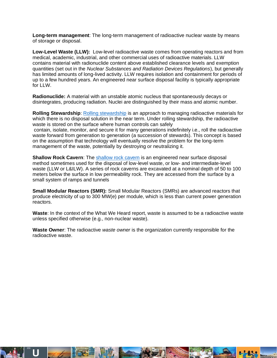**Long-term management**: The long-term management of radioactive nuclear waste by means of storage or disposal.

**Low-Level Waste (LLW):** Low-level radioactive waste comes from operating reactors and from medical, academic, industrial, and other commercial uses of radioactive materials. LLW contains material with radionuclide content above established clearance levels and exemption quantities (set out in the *Nuclear Substances and Radiation Devices Regulations*), but generally has limited amounts of long-lived activity. LLW requires isolation and containment for periods of up to a few hundred years. An engineered near surface disposal facility is typically appropriate for LLW.

**Radionuclide:** A material with an unstable atomic nucleus that spontaneously decays or disintegrates, producing radiation. Nuclei are distinguished by their mass and atomic number.

**Rolling Stewardship**: [Rolling stewardship](https://radwasteplanning.ca/sites/default/files/rolling_stewardship_final_2021-03-23.pdf) is an approach to managing radioactive materials for which there is no disposal solution in the near term. Under rolling stewardship, the radioactive waste is stored on the surface where human controls can safely contain, isolate, monitor, and secure it for many generations indefinitely i.e., roll the radioactive waste forward from generation to generation (a succession of stewards). This concept is based on the assumption that technology will eventually resolve the problem for the long-term management of the waste, potentially by destroying or neutralizing it.

**Shallow Rock Cavern**: The [shallow rock cavern](https://radwasteplanning.ca/sites/default/files/shallow_rock_cavern_final_2021-03-23.pdf) is an engineered near surface disposal method sometimes used for the disposal of low-level waste, or low- and intermediate-level waste (LLW or L&ILW). A series of rock caverns are excavated at a nominal depth of 50 to 100 meters below the surface in low permeability rock. They are accessed from the surface by a small system of ramps and tunnels

**Small Modular Reactors (SMR):** Small Modular Reactors (SMRs) are advanced reactors that produce electricity of up to 300 MW(e) per module, which is less than current power generation reactors.

**Waste**: In the context of the What We Heard report, waste is assumed to be a radioactive waste unless specified otherwise (e.g., non-nuclear waste).

**Waste Owner**: The radioactive *waste owner* is the organization currently responsible for the radioactive waste.